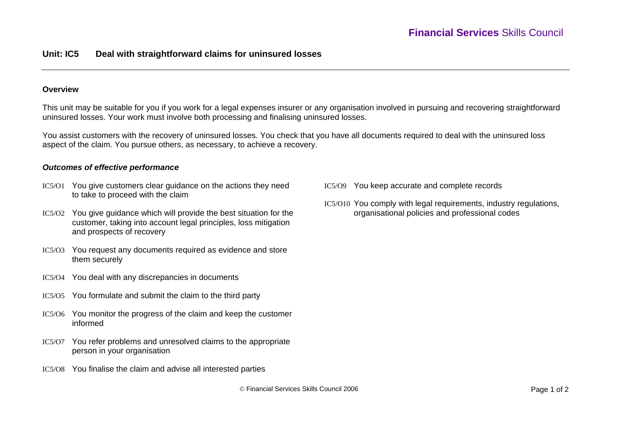# **Unit: IC5 Deal with straightforward claims for uninsured losses**

#### **Overview**

This unit may be suitable for you if you work for a legal expenses insurer or any organisation involved in pursuing and recovering straightforward uninsured losses. Your work must involve both processing and finalising uninsured losses.

You assist customers with the recovery of uninsured losses. You check that you have all documents required to deal with the uninsured loss aspect of the claim. You pursue others, as necessary, to achieve a recovery.

#### *Outcomes of effective performance*

- IC5/O1 You give customers clear guidance on the actions they need to take to proceed with the claim
- IC5/O2 You give guidance which will provide the best situation for the customer, taking into account legal principles, loss mitigation and prospects of recovery
- IC5/O3 You request any documents required as evidence and store them securely
- IC5/O4 You deal with any discrepancies in documents
- IC5/O5 You formulate and submit the claim to the third party
- IC5/O6 You monitor the progress of the claim and keep the customer informed
- IC5/O7 You refer problems and unresolved claims to the appropriate person in your organisation
- IC5/O8 You finalise the claim and advise all interested parties
- IC5/O9 You keep accurate and complete records
- IC5/O10 You comply with legal requirements, industry regulations, organisational policies and professional codes